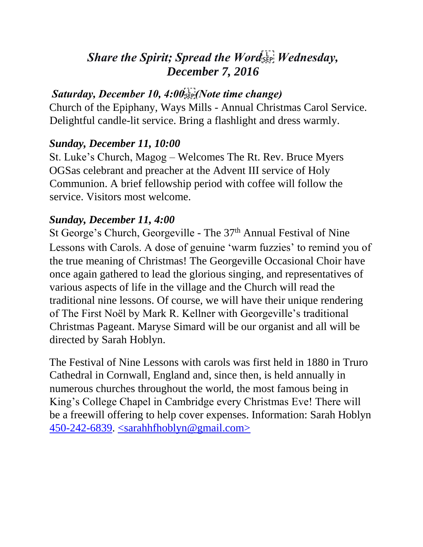# **Share the Spirit; Spread the Word SEP! Wednesday,** *December 7, 2016*

# Saturday, December 10, 4:00<sup>[17</sup>] (Note time change)

Church of the Epiphany, Ways Mills - Annual Christmas Carol Service. Delightful candle-lit service. Bring a flashlight and dress warmly.

# *Sunday, December 11, 10:00*

St. Luke's Church, Magog – Welcomes The Rt. Rev. Bruce Myers OGSas celebrant and preacher at the Advent III service of Holy Communion. A brief fellowship period with coffee will follow the service. Visitors most welcome.

# *Sunday, December 11, 4:00*

St George's Church, Georgeville - The 37<sup>th</sup> Annual Festival of Nine Lessons with Carols. A dose of genuine 'warm fuzzies' to remind you of the true meaning of Christmas! The Georgeville Occasional Choir have once again gathered to lead the glorious singing, and representatives of various aspects of life in the village and the Church will read the traditional nine lessons. Of course, we will have their unique rendering of The First Noël by Mark R. Kellner with Georgeville's traditional Christmas Pageant. Maryse Simard will be our organist and all will be directed by Sarah Hoblyn.

The Festival of Nine Lessons with carols was first held in 1880 in Truro Cathedral in Cornwall, England and, since then, is held annually in numerous churches throughout the world, the most famous being in King's College Chapel in Cambridge every Christmas Eve! There will be a freewill offering to help cover expenses. Information: Sarah Hoblyn  $450-242-6839$ .  $\leq$ sarahhfhoblyn@gmail.com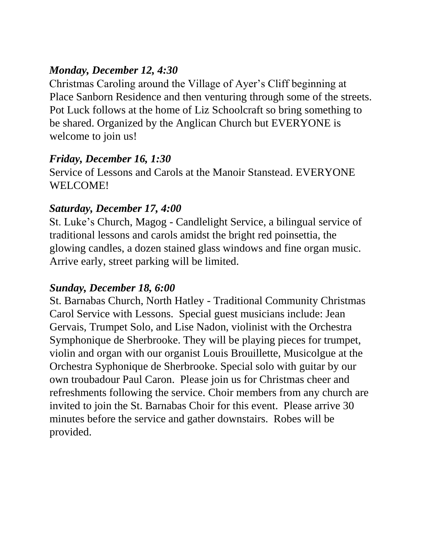# *Monday, December 12, 4:30*

Christmas Caroling around the Village of Ayer's Cliff beginning at Place Sanborn Residence and then venturing through some of the streets. Pot Luck follows at the home of Liz Schoolcraft so bring something to be shared. Organized by the Anglican Church but EVERYONE is welcome to join us!

## *Friday, December 16, 1:30*

Service of Lessons and Carols at the Manoir Stanstead. EVERYONE WELCOME!

## *Saturday, December 17, 4:00*

St. Luke's Church, Magog - Candlelight Service, a bilingual service of traditional lessons and carols amidst the bright red poinsettia, the glowing candles, a dozen stained glass windows and fine organ music. Arrive early, street parking will be limited.

## *Sunday, December 18, 6:00*

St. Barnabas Church, North Hatley - Traditional Community Christmas Carol Service with Lessons. Special guest musicians include: Jean Gervais, Trumpet Solo, and Lise Nadon, violinist with the Orchestra Symphonique de Sherbrooke. They will be playing pieces for trumpet, violin and organ with our organist Louis Brouillette, Musicolgue at the Orchestra Syphonique de Sherbrooke. Special solo with guitar by our own troubadour Paul Caron. Please join us for Christmas cheer and refreshments following the service. Choir members from any church are invited to join the St. Barnabas Choir for this event. Please arrive 30 minutes before the service and gather downstairs. Robes will be provided.